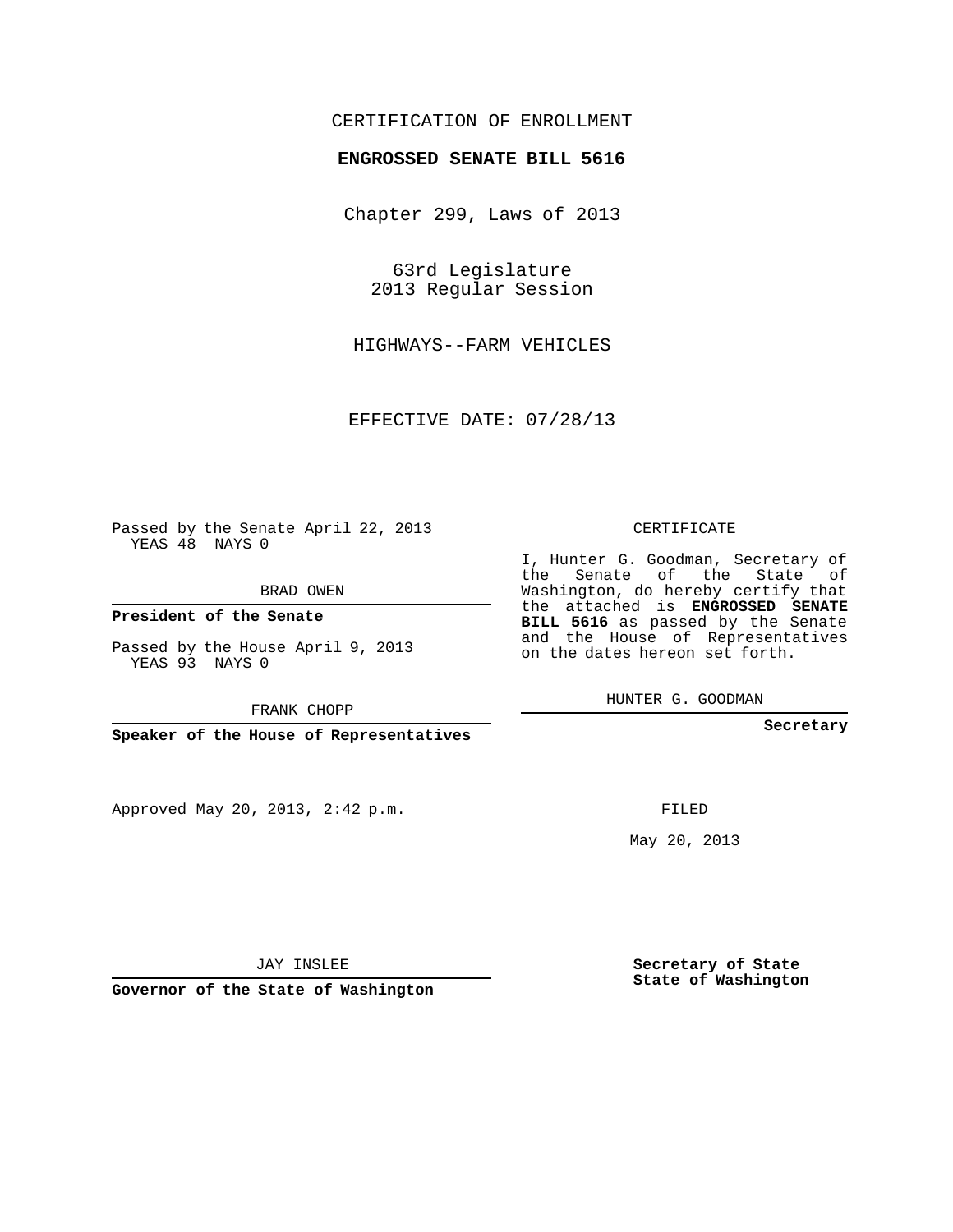## CERTIFICATION OF ENROLLMENT

## **ENGROSSED SENATE BILL 5616**

Chapter 299, Laws of 2013

63rd Legislature 2013 Regular Session

HIGHWAYS--FARM VEHICLES

EFFECTIVE DATE: 07/28/13

Passed by the Senate April 22, 2013 YEAS 48 NAYS 0

BRAD OWEN

**President of the Senate**

Passed by the House April 9, 2013 YEAS 93 NAYS 0

FRANK CHOPP

**Speaker of the House of Representatives**

Approved May 20, 2013, 2:42 p.m.

CERTIFICATE

I, Hunter G. Goodman, Secretary of the Senate of the State of Washington, do hereby certify that the attached is **ENGROSSED SENATE BILL 5616** as passed by the Senate and the House of Representatives on the dates hereon set forth.

HUNTER G. GOODMAN

**Secretary**

FILED

May 20, 2013

**Secretary of State State of Washington**

JAY INSLEE

**Governor of the State of Washington**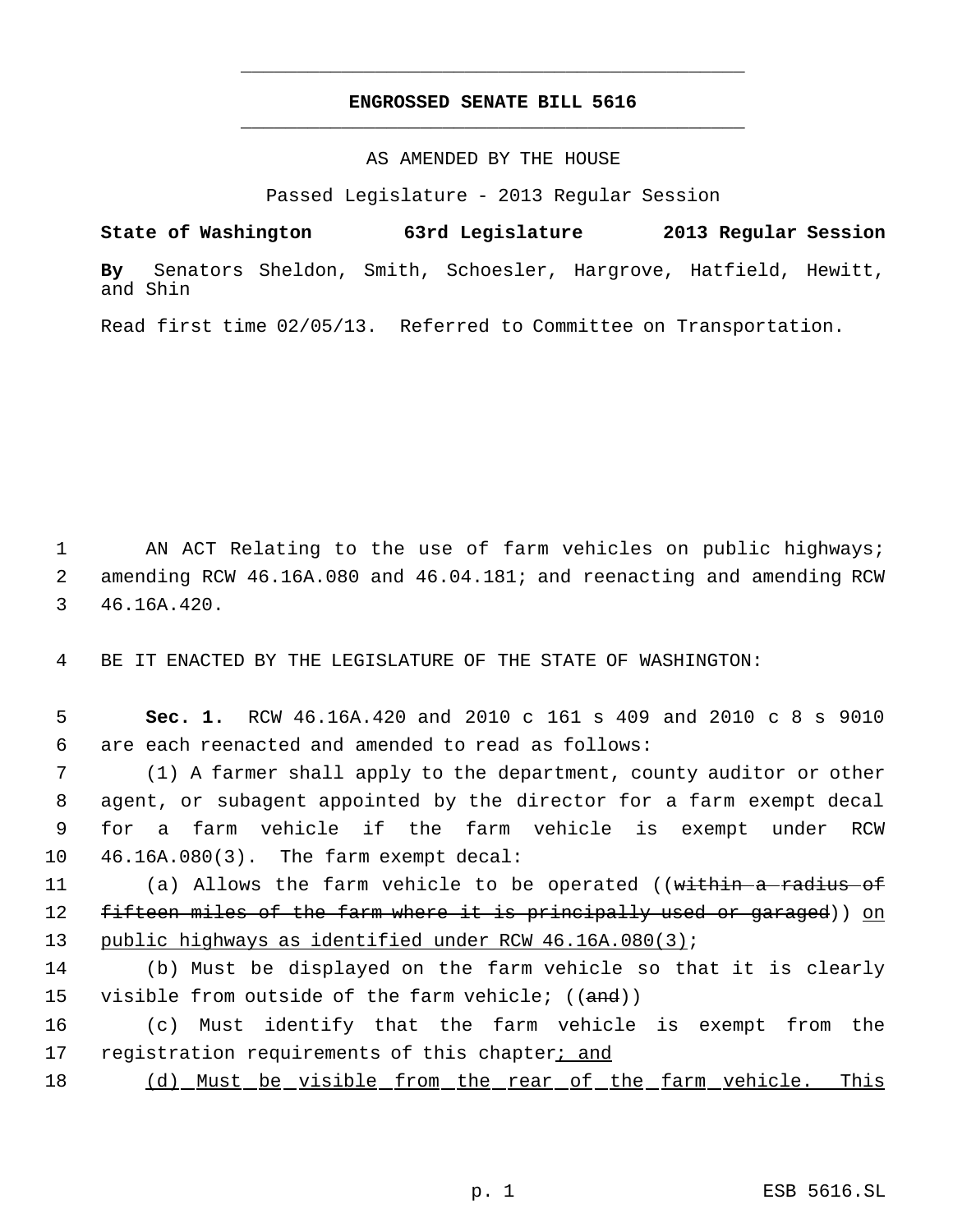## **ENGROSSED SENATE BILL 5616** \_\_\_\_\_\_\_\_\_\_\_\_\_\_\_\_\_\_\_\_\_\_\_\_\_\_\_\_\_\_\_\_\_\_\_\_\_\_\_\_\_\_\_\_\_

\_\_\_\_\_\_\_\_\_\_\_\_\_\_\_\_\_\_\_\_\_\_\_\_\_\_\_\_\_\_\_\_\_\_\_\_\_\_\_\_\_\_\_\_\_

AS AMENDED BY THE HOUSE

Passed Legislature - 2013 Regular Session

**State of Washington 63rd Legislature 2013 Regular Session By** Senators Sheldon, Smith, Schoesler, Hargrove, Hatfield, Hewitt, and Shin

Read first time 02/05/13. Referred to Committee on Transportation.

 1 AN ACT Relating to the use of farm vehicles on public highways; 2 amending RCW 46.16A.080 and 46.04.181; and reenacting and amending RCW 3 46.16A.420.

4 BE IT ENACTED BY THE LEGISLATURE OF THE STATE OF WASHINGTON:

 5 **Sec. 1.** RCW 46.16A.420 and 2010 c 161 s 409 and 2010 c 8 s 9010 6 are each reenacted and amended to read as follows:

 (1) A farmer shall apply to the department, county auditor or other agent, or subagent appointed by the director for a farm exempt decal for a farm vehicle if the farm vehicle is exempt under RCW 46.16A.080(3). The farm exempt decal:

11 (a) Allows the farm vehicle to be operated ((within a radius of 12 fifteen miles of the farm where it is principally used or garaged)) on 13 public highways as identified under RCW 46.16A.080(3);

14 (b) Must be displayed on the farm vehicle so that it is clearly 15 visible from outside of the farm vehicle;  $((and))$ 

16 (c) Must identify that the farm vehicle is exempt from the 17 registration requirements of this chapter; and

18 (d) Must be visible from the rear of the farm vehicle. This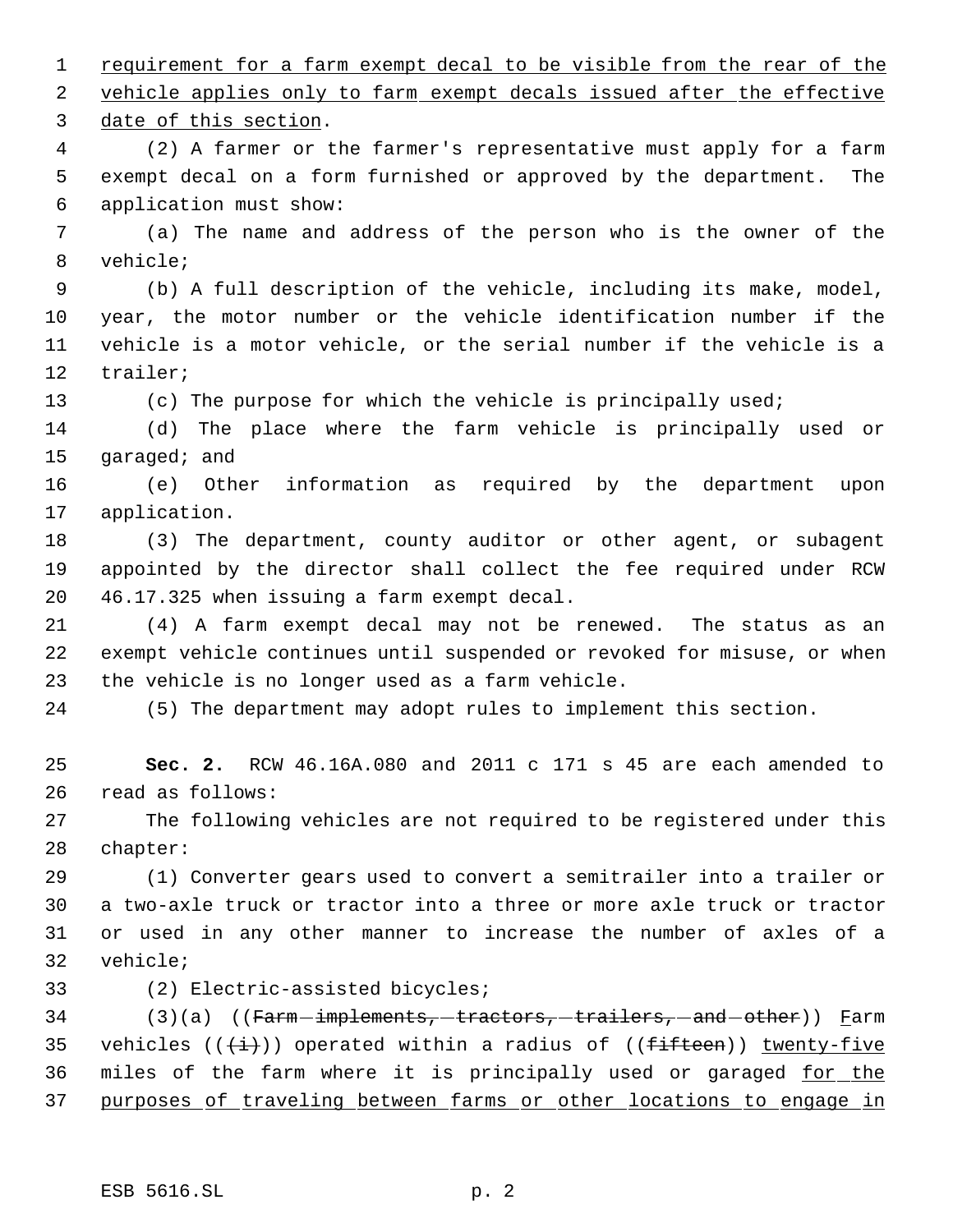1 requirement for a farm exempt decal to be visible from the rear of the 2 vehicle applies only to farm exempt decals issued after the effective date of this section. (2) A farmer or the farmer's representative must apply for a farm exempt decal on a form furnished or approved by the department. The application must show: (a) The name and address of the person who is the owner of the vehicle; (b) A full description of the vehicle, including its make, model, year, the motor number or the vehicle identification number if the vehicle is a motor vehicle, or the serial number if the vehicle is a trailer; (c) The purpose for which the vehicle is principally used; (d) The place where the farm vehicle is principally used or garaged; and (e) Other information as required by the department upon application. (3) The department, county auditor or other agent, or subagent appointed by the director shall collect the fee required under RCW 46.17.325 when issuing a farm exempt decal. (4) A farm exempt decal may not be renewed. The status as an exempt vehicle continues until suspended or revoked for misuse, or when the vehicle is no longer used as a farm vehicle. (5) The department may adopt rules to implement this section. **Sec. 2.** RCW 46.16A.080 and 2011 c 171 s 45 are each amended to read as follows: The following vehicles are not required to be registered under this chapter: (1) Converter gears used to convert a semitrailer into a trailer or a two-axle truck or tractor into a three or more axle truck or tractor or used in any other manner to increase the number of axles of a vehicle; (2) Electric-assisted bicycles; 34 (3)(a) ((Farm-implements, tractors, trailers, and other)) Farm 35 vehicles  $((+i))$  operated within a radius of  $((f\text{-}i\text{)}\text{-}i\text{)}$  twenty-five 36 miles of the farm where it is principally used or garaged for the purposes of traveling between farms or other locations to engage in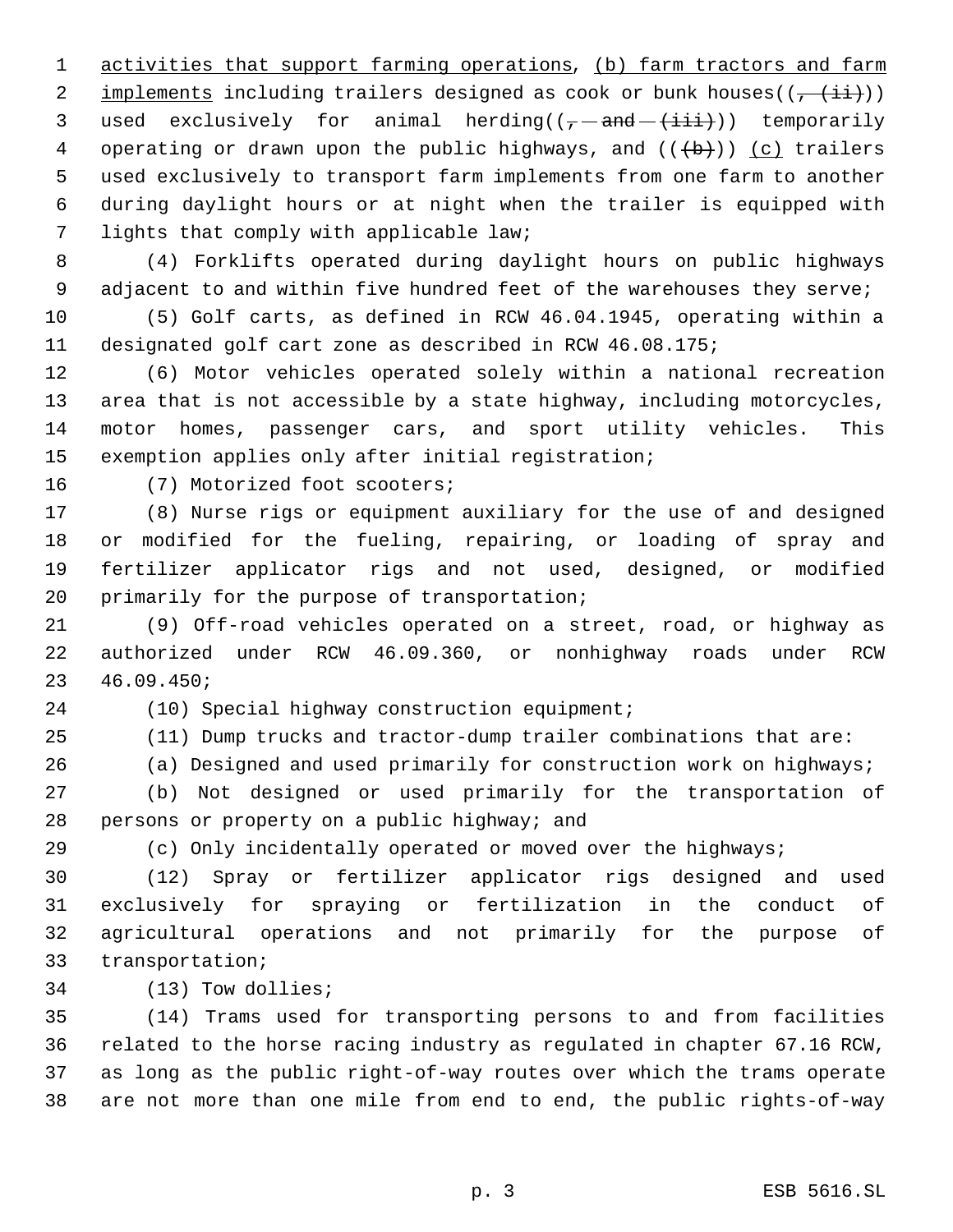1 activities that support farming operations, (b) farm tractors and farm 2 implements including trailers designed as cook or bunk houses( $(\frac{1+i}{2})$ ) 3 used exclusively for animal herding( $(-$ and  $(+$ iii))) temporarily 4 operating or drawn upon the public highways, and  $((+b))$  (c) trailers used exclusively to transport farm implements from one farm to another during daylight hours or at night when the trailer is equipped with lights that comply with applicable law;

 (4) Forklifts operated during daylight hours on public highways 9 adjacent to and within five hundred feet of the warehouses they serve;

 (5) Golf carts, as defined in RCW 46.04.1945, operating within a designated golf cart zone as described in RCW 46.08.175;

 (6) Motor vehicles operated solely within a national recreation area that is not accessible by a state highway, including motorcycles, motor homes, passenger cars, and sport utility vehicles. This exemption applies only after initial registration;

(7) Motorized foot scooters;

 (8) Nurse rigs or equipment auxiliary for the use of and designed or modified for the fueling, repairing, or loading of spray and fertilizer applicator rigs and not used, designed, or modified 20 primarily for the purpose of transportation;

 (9) Off-road vehicles operated on a street, road, or highway as authorized under RCW 46.09.360, or nonhighway roads under RCW 46.09.450;

(10) Special highway construction equipment;

(11) Dump trucks and tractor-dump trailer combinations that are:

(a) Designed and used primarily for construction work on highways;

 (b) Not designed or used primarily for the transportation of persons or property on a public highway; and

(c) Only incidentally operated or moved over the highways;

 (12) Spray or fertilizer applicator rigs designed and used exclusively for spraying or fertilization in the conduct of agricultural operations and not primarily for the purpose of transportation;

(13) Tow dollies;

 (14) Trams used for transporting persons to and from facilities related to the horse racing industry as regulated in chapter 67.16 RCW, as long as the public right-of-way routes over which the trams operate are not more than one mile from end to end, the public rights-of-way